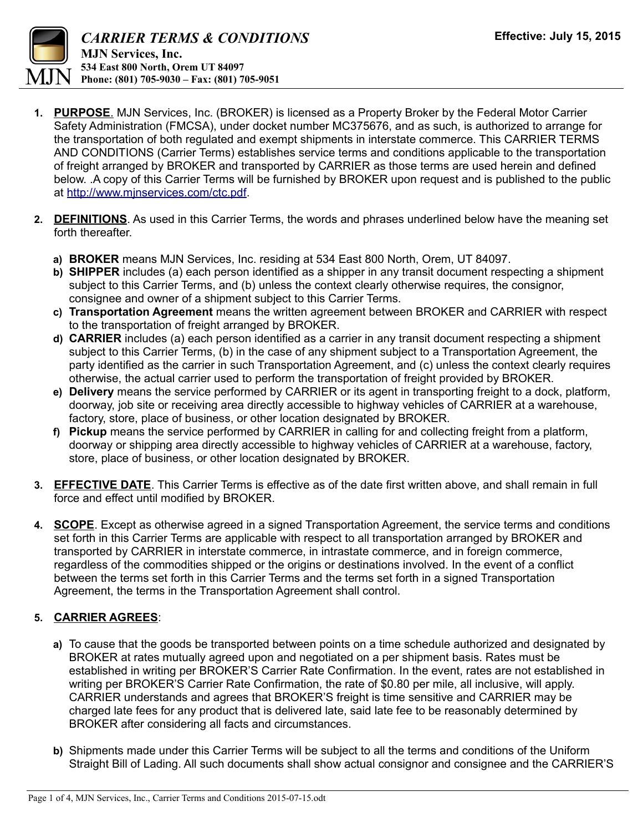

- **1. PURPOSE**. MJN Services, Inc. (BROKER) is licensed as a Property Broker by the Federal Motor Carrier Safety Administration (FMCSA), under docket number MC375676, and as such, is authorized to arrange for the transportation of both regulated and exempt shipments in interstate commerce. This CARRIER TERMS AND CONDITIONS (Carrier Terms) establishes service terms and conditions applicable to the transportation of freight arranged by BROKER and transported by CARRIER as those terms are used herein and defined below. .A copy of this Carrier Terms will be furnished by BROKER upon request and is published to the public at [http://www.mjnservices.com/ctc.pdf.](http://www.mjnservices.com/ctc.pdf)
- **2. DEFINITIONS**. As used in this Carrier Terms, the words and phrases underlined below have the meaning set forth thereafter.
	- **a) BROKER** means MJN Services, Inc. residing at 534 East 800 North, Orem, UT 84097.
	- **b) SHIPPER** includes (a) each person identified as a shipper in any transit document respecting a shipment subject to this Carrier Terms, and (b) unless the context clearly otherwise requires, the consignor, consignee and owner of a shipment subject to this Carrier Terms.
	- **c) Transportation Agreement** means the written agreement between BROKER and CARRIER with respect to the transportation of freight arranged by BROKER.
	- **d) CARRIER** includes (a) each person identified as a carrier in any transit document respecting a shipment subject to this Carrier Terms, (b) in the case of any shipment subject to a Transportation Agreement, the party identified as the carrier in such Transportation Agreement, and (c) unless the context clearly requires otherwise, the actual carrier used to perform the transportation of freight provided by BROKER.
	- **e) Delivery** means the service performed by CARRIER or its agent in transporting freight to a dock, platform, doorway, job site or receiving area directly accessible to highway vehicles of CARRIER at a warehouse, factory, store, place of business, or other location designated by BROKER.
	- **f) Pickup** means the service performed by CARRIER in calling for and collecting freight from a platform, doorway or shipping area directly accessible to highway vehicles of CARRIER at a warehouse, factory, store, place of business, or other location designated by BROKER.
- **3. EFFECTIVE DATE**. This Carrier Terms is effective as of the date first written above, and shall remain in full force and effect until modified by BROKER.
- **4. SCOPE**. Except as otherwise agreed in a signed Transportation Agreement, the service terms and conditions set forth in this Carrier Terms are applicable with respect to all transportation arranged by BROKER and transported by CARRIER in interstate commerce, in intrastate commerce, and in foreign commerce, regardless of the commodities shipped or the origins or destinations involved. In the event of a conflict between the terms set forth in this Carrier Terms and the terms set forth in a signed Transportation Agreement, the terms in the Transportation Agreement shall control.

## **5. CARRIER AGREES**:

- **a)** To cause that the goods be transported between points on a time schedule authorized and designated by BROKER at rates mutually agreed upon and negotiated on a per shipment basis. Rates must be established in writing per BROKER'S Carrier Rate Confirmation. In the event, rates are not established in writing per BROKER'S Carrier Rate Confirmation, the rate of \$0.80 per mile, all inclusive, will apply. CARRIER understands and agrees that BROKER'S freight is time sensitive and CARRIER may be charged late fees for any product that is delivered late, said late fee to be reasonably determined by BROKER after considering all facts and circumstances.
- **b)** Shipments made under this Carrier Terms will be subject to all the terms and conditions of the Uniform Straight Bill of Lading. All such documents shall show actual consignor and consignee and the CARRIER'S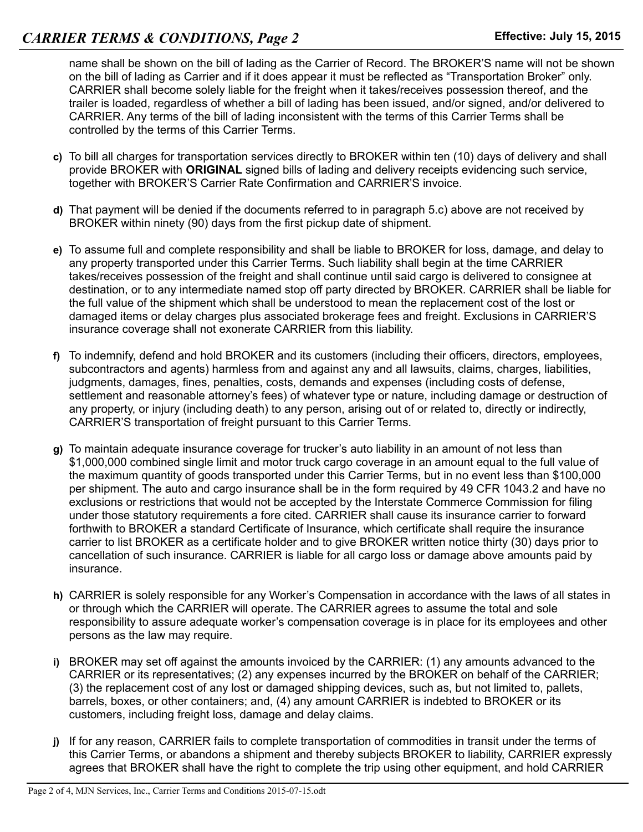name shall be shown on the bill of lading as the Carrier of Record. The BROKER'S name will not be shown on the bill of lading as Carrier and if it does appear it must be reflected as "Transportation Broker" only. CARRIER shall become solely liable for the freight when it takes/receives possession thereof, and the trailer is loaded, regardless of whether a bill of lading has been issued, and/or signed, and/or delivered to CARRIER. Any terms of the bill of lading inconsistent with the terms of this Carrier Terms shall be controlled by the terms of this Carrier Terms.

- **c)** To bill all charges for transportation services directly to BROKER within ten (10) days of delivery and shall provide BROKER with **ORIGINAL** signed bills of lading and delivery receipts evidencing such service, together with BROKER'S Carrier Rate Confirmation and CARRIER'S invoice.
- **d)** That payment will be denied if the documents referred to in paragraph 5.c) above are not received by BROKER within ninety (90) days from the first pickup date of shipment.
- **e)** To assume full and complete responsibility and shall be liable to BROKER for loss, damage, and delay to any property transported under this Carrier Terms. Such liability shall begin at the time CARRIER takes/receives possession of the freight and shall continue until said cargo is delivered to consignee at destination, or to any intermediate named stop off party directed by BROKER. CARRIER shall be liable for the full value of the shipment which shall be understood to mean the replacement cost of the lost or damaged items or delay charges plus associated brokerage fees and freight. Exclusions in CARRIER'S insurance coverage shall not exonerate CARRIER from this liability.
- **f)** To indemnify, defend and hold BROKER and its customers (including their officers, directors, employees, subcontractors and agents) harmless from and against any and all lawsuits, claims, charges, liabilities, judgments, damages, fines, penalties, costs, demands and expenses (including costs of defense, settlement and reasonable attorney's fees) of whatever type or nature, including damage or destruction of any property, or injury (including death) to any person, arising out of or related to, directly or indirectly, CARRIER'S transportation of freight pursuant to this Carrier Terms.
- **g)** To maintain adequate insurance coverage for trucker's auto liability in an amount of not less than \$1,000,000 combined single limit and motor truck cargo coverage in an amount equal to the full value of the maximum quantity of goods transported under this Carrier Terms, but in no event less than \$100,000 per shipment. The auto and cargo insurance shall be in the form required by 49 CFR 1043.2 and have no exclusions or restrictions that would not be accepted by the Interstate Commerce Commission for filing under those statutory requirements a fore cited. CARRIER shall cause its insurance carrier to forward forthwith to BROKER a standard Certificate of Insurance, which certificate shall require the insurance carrier to list BROKER as a certificate holder and to give BROKER written notice thirty (30) days prior to cancellation of such insurance. CARRIER is liable for all cargo loss or damage above amounts paid by insurance.
- **h)** CARRIER is solely responsible for any Worker's Compensation in accordance with the laws of all states in or through which the CARRIER will operate. The CARRIER agrees to assume the total and sole responsibility to assure adequate worker's compensation coverage is in place for its employees and other persons as the law may require.
- **i)** BROKER may set off against the amounts invoiced by the CARRIER: (1) any amounts advanced to the CARRIER or its representatives; (2) any expenses incurred by the BROKER on behalf of the CARRIER; (3) the replacement cost of any lost or damaged shipping devices, such as, but not limited to, pallets, barrels, boxes, or other containers; and, (4) any amount CARRIER is indebted to BROKER or its customers, including freight loss, damage and delay claims.
- **j)** If for any reason, CARRIER fails to complete transportation of commodities in transit under the terms of this Carrier Terms, or abandons a shipment and thereby subjects BROKER to liability, CARRIER expressly agrees that BROKER shall have the right to complete the trip using other equipment, and hold CARRIER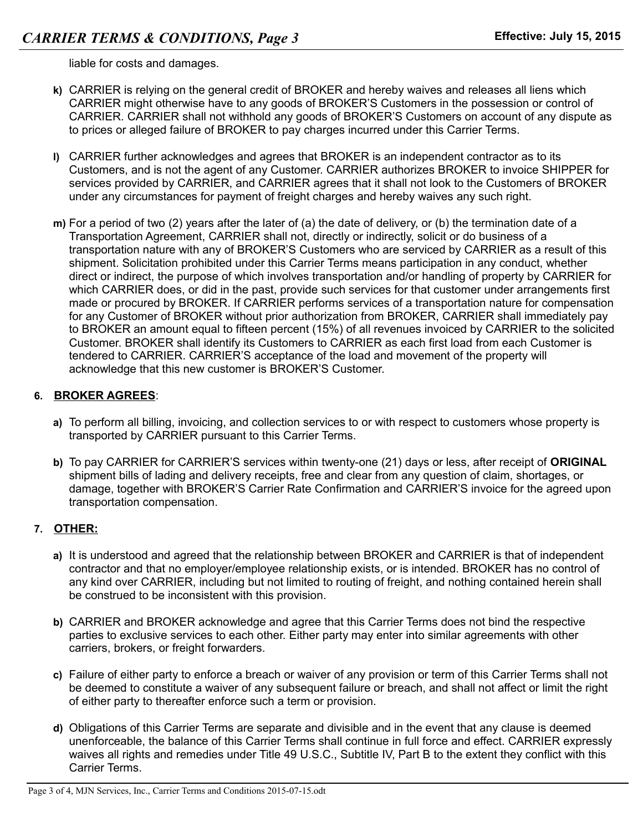liable for costs and damages.

- **k)** CARRIER is relying on the general credit of BROKER and hereby waives and releases all liens which CARRIER might otherwise have to any goods of BROKER'S Customers in the possession or control of CARRIER. CARRIER shall not withhold any goods of BROKER'S Customers on account of any dispute as to prices or alleged failure of BROKER to pay charges incurred under this Carrier Terms.
- **l)** CARRIER further acknowledges and agrees that BROKER is an independent contractor as to its Customers, and is not the agent of any Customer. CARRIER authorizes BROKER to invoice SHIPPER for services provided by CARRIER, and CARRIER agrees that it shall not look to the Customers of BROKER under any circumstances for payment of freight charges and hereby waives any such right.
- **m)** For a period of two (2) years after the later of (a) the date of delivery, or (b) the termination date of a Transportation Agreement, CARRIER shall not, directly or indirectly, solicit or do business of a transportation nature with any of BROKER'S Customers who are serviced by CARRIER as a result of this shipment. Solicitation prohibited under this Carrier Terms means participation in any conduct, whether direct or indirect, the purpose of which involves transportation and/or handling of property by CARRIER for which CARRIER does, or did in the past, provide such services for that customer under arrangements first made or procured by BROKER. If CARRIER performs services of a transportation nature for compensation for any Customer of BROKER without prior authorization from BROKER, CARRIER shall immediately pay to BROKER an amount equal to fifteen percent (15%) of all revenues invoiced by CARRIER to the solicited Customer. BROKER shall identify its Customers to CARRIER as each first load from each Customer is tendered to CARRIER. CARRIER'S acceptance of the load and movement of the property will acknowledge that this new customer is BROKER'S Customer.

## **6. BROKER AGREES**:

- **a)** To perform all billing, invoicing, and collection services to or with respect to customers whose property is transported by CARRIER pursuant to this Carrier Terms.
- **b)** To pay CARRIER for CARRIER'S services within twenty-one (21) days or less, after receipt of **ORIGINAL** shipment bills of lading and delivery receipts, free and clear from any question of claim, shortages, or damage, together with BROKER'S Carrier Rate Confirmation and CARRIER'S invoice for the agreed upon transportation compensation.

## **7. OTHER:**

- **a)** It is understood and agreed that the relationship between BROKER and CARRIER is that of independent contractor and that no employer/employee relationship exists, or is intended. BROKER has no control of any kind over CARRIER, including but not limited to routing of freight, and nothing contained herein shall be construed to be inconsistent with this provision.
- **b)** CARRIER and BROKER acknowledge and agree that this Carrier Terms does not bind the respective parties to exclusive services to each other. Either party may enter into similar agreements with other carriers, brokers, or freight forwarders.
- **c)** Failure of either party to enforce a breach or waiver of any provision or term of this Carrier Terms shall not be deemed to constitute a waiver of any subsequent failure or breach, and shall not affect or limit the right of either party to thereafter enforce such a term or provision.
- **d)** Obligations of this Carrier Terms are separate and divisible and in the event that any clause is deemed unenforceable, the balance of this Carrier Terms shall continue in full force and effect. CARRIER expressly waives all rights and remedies under Title 49 U.S.C., Subtitle IV, Part B to the extent they conflict with this Carrier Terms.